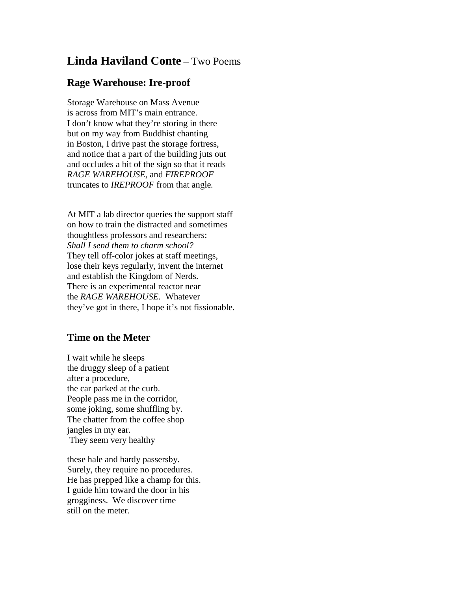## **Linda Haviland Conte** – Two Poems

## **Rage Warehouse: Ire-proof**

Storage Warehouse on Mass Avenue is across from MIT's main entrance. I don't know what they're storing in there but on my way from Buddhist chanting in Boston, I drive past the storage fortress, and notice that a part of the building juts out and occludes a bit of the sign so that it reads *RAGE WAREHOUSE,* and *FIREPROOF* truncates to *IREPROOF* from that angle*.*

At MIT a lab director queries the support staff on how to train the distracted and sometimes thoughtless professors and researchers: *Shall I send them to charm school?* They tell off-color jokes at staff meetings, lose their keys regularly, invent the internet and establish the Kingdom of Nerds. There is an experimental reactor near the *RAGE WAREHOUSE.* Whatever they've got in there, I hope it's not fissionable.

## **Time on the Meter**

I wait while he sleeps the druggy sleep of a patient after a procedure, the car parked at the curb. People pass me in the corridor, some joking, some shuffling by. The chatter from the coffee shop jangles in my ear. They seem very healthy

these hale and hardy passersby. Surely, they require no procedures. He has prepped like a champ for this. I guide him toward the door in his grogginess. We discover time still on the meter.